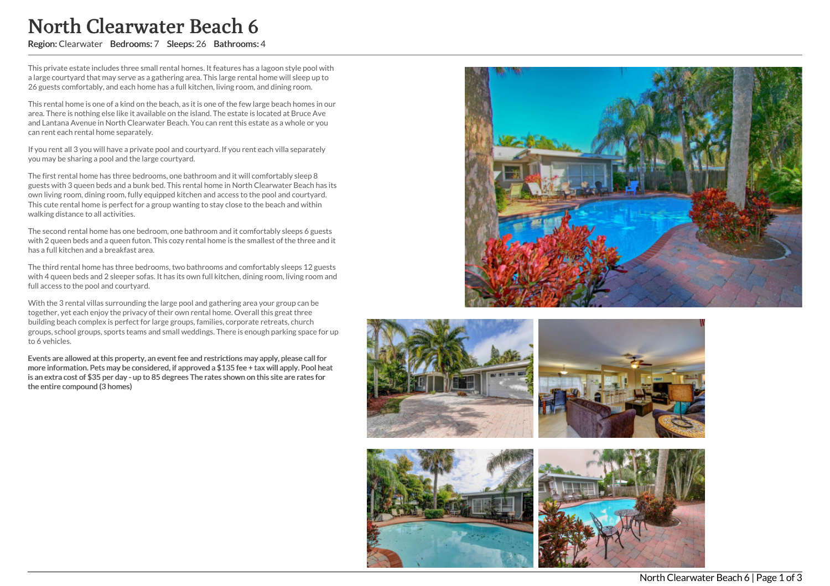## North Clearwater Beach 6

## Region: Clearwater Bedrooms: 7 Sleeps: 26 Bathrooms: 4

This private estate includes three small rental homes. It features has a lagoon style pool with a large courtyard that may serve as a gathering area. This large rental home will sleep up to 26 guests comfortably, and each home has a full kitchen, living room, and dining room.

This rental home is one of a kind on the beach, as it is one of the few large beach homes in our area. There is nothing else like it available on the island. The estate is located at Bruce Ave and Lantana Avenue in North Clearwater Beach. You can rent this estate as a whole or you can rent each rental home separately.

If you rent all 3 you will have a private pool and courtyard. If you rent each villa separately you may be sharing a pool and the large courtyard.

The first rental home has three bedrooms, one bathroom and it will comfortably sleep 8 guests with 3 queen beds and a bunk bed. This rental home in North Clearwater Beach has its own living room, dining room, fully equipped kitchen and access to the pool and courtyard. This cute rental home is perfect for a group wanting to stay close to the beach and within walking distance to all activities.

The second rental home has one bedroom, one bathroom and it comfortably sleeps 6 guests with 2 queen beds and a queen futon. This cozy rental home is the smallest of the three and it has a full kitchen and a breakfast area.

The third rental home has three bedrooms, two bathrooms and comfortably sleeps 12 guests with 4 queen beds and 2 sleeper sofas. It has its own full kitchen, dining room, living room and full access to the pool and courtyard.

With the 3 rental villas surrounding the large pool and gathering area your group can be together, yet each enjoy the privacy of their own rental home. Overall this great three building beach complex is perfect for large groups, families, corporate retreats, church groups, school groups, sports teams and small weddings. There is enough parking space for up to 6 vehicles.

Events are allowed at this property, an event fee and restrictions may apply, please call for more information. Pets may be considered, if approved a \$135 fee + tax will apply. Pool heat is an extra cost of \$35 per day - up to 85 degrees The rates shown on this site are rates for the entire compound (3 homes)



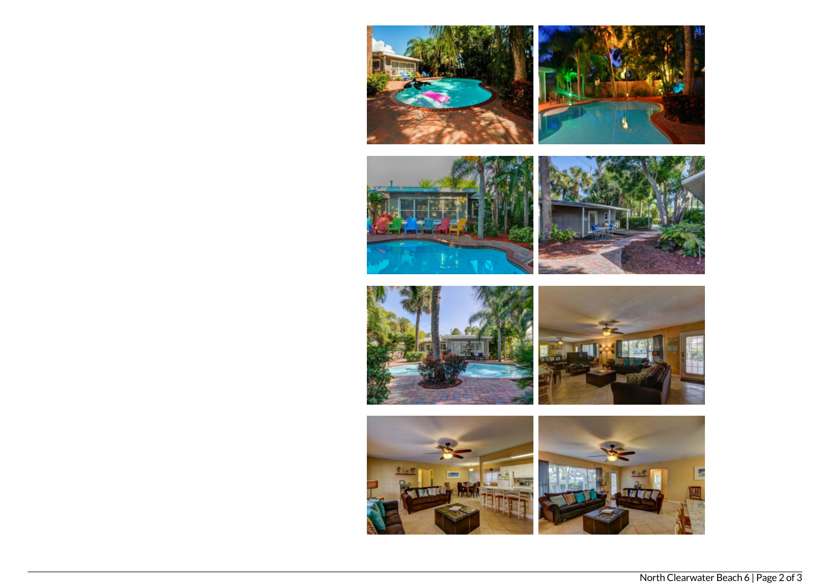